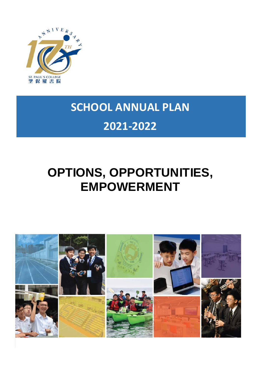

# **SCHOOL ANNUAL PLAN 2021-2022**

# **OPTIONS, OPPORTUNITIES, EMPOWERMENT**

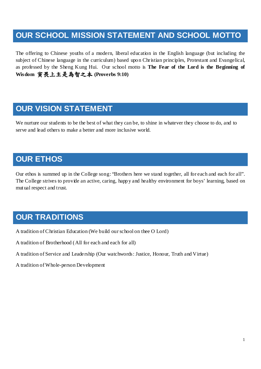## **OUR SCHOOL MISSION STATEMENT AND SCHOOL MOTTO**

The offering to Chinese youths of a modern, liberal education in the English language (but including the subject of Chinese language in the curriculum) based upon Christian principles, Protestant and Evangelical, as professed by the Sheng Kung Hui. Our school motto is **The Fear of the Lord is the Beginning of Wisdom** 寅畏上主是為智之本 **(Proverbs 9:10)**

## **OUR VISION STATEMENT**

We nurture our students to be the best of what they can be, to shine in whatever they choose to do, and to serve and lead others to make a better and more inclusive world.

## **OUR ETHOS**

Our ethos is summed up in the College song: "Brothers here we stand together, all for each and each for all". The College strives to provide an active, caring, happy and healthy environment for boys' learning, based on mutual respect and trust.

# **OUR TRADITIONS**

A tradition of Christian Education (We build our school on thee O Lord)

A tradition of Brotherhood ( All for each and each for all)

A tradition of Service and Leadership (Our watchwords: Justice, Honour, Truth and Virtue)

A tradition of Whole-person Development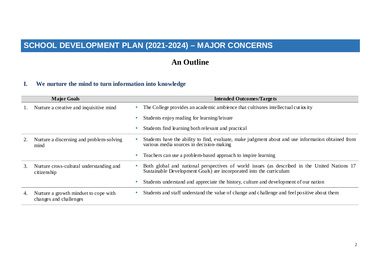# **SCHOOL DEVELOPMENT PLAN (2021-2024) – MAJOR CONCERNS**

## **An Outline**

#### **I. We nurture the mind to turn information into knowledge**

|    | <b>Major Goals</b>                                              | <b>Intended Outcomes/Targets</b> |                                                                                                                                                                     |  |  |  |  |
|----|-----------------------------------------------------------------|----------------------------------|---------------------------------------------------------------------------------------------------------------------------------------------------------------------|--|--|--|--|
| 1. | Nurture a creative and inquisitive mind                         |                                  | The College provides an academic ambience that cultivates intellectual curios ity                                                                                   |  |  |  |  |
|    |                                                                 |                                  | Students enjoy reading for learning/leisure                                                                                                                         |  |  |  |  |
|    |                                                                 |                                  | Students find learning both relevant and practical                                                                                                                  |  |  |  |  |
| 2. | Nurture a discerning and problem-solving<br>mind                |                                  | Students have the ability to find, evaluate, make judgment about and use information obtained from<br>various media sources in decision-making                      |  |  |  |  |
|    |                                                                 |                                  | Teachers can use a problem-based approach to inspire learning                                                                                                       |  |  |  |  |
| 3. | Nurture cross-cultural understanding and<br>citizenship         |                                  | Both global and national perspectives of world issues (as described in the United Nations 17<br>Sustainable Development Goals) are incorporated into the curriculum |  |  |  |  |
|    |                                                                 |                                  | Students understand and appreciate the history, culture and development of our nation                                                                               |  |  |  |  |
| 4. | Nurture a growth mindset to cope with<br>changes and challenges |                                  | Students and staff understand the value of change and challenge and feel positive about them                                                                        |  |  |  |  |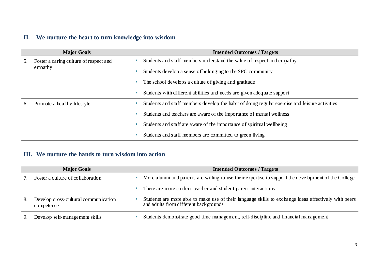## **II. We nurture the heart to turn knowledge into wisdom**

|    | <b>Major Goals</b>                     |           | <b>Intended Outcomes / Targets</b>                                                            |
|----|----------------------------------------|-----------|-----------------------------------------------------------------------------------------------|
| 5. | Foster a caring culture of respect and |           | Students and staff members understand the value of respect and empathy                        |
|    | empathy                                | $\bullet$ | Students develop a sense of belonging to the SPC community                                    |
|    |                                        |           | The school develops a culture of giving and gratitude                                         |
|    |                                        |           | Students with different abilities and needs are given adequate support                        |
| 6. | Promote a healthy lifestyle            |           | Students and staff members develop the habit of doing regular exercise and leisure activities |
|    |                                        | ۰         | Students and teachers are aware of the importance of mental wellness                          |
|    |                                        | $\bullet$ | Students and staff are aware of the importance of spiritual wellbeing                         |
|    |                                        | ۰         | Students and staff members are committed to green living                                      |

#### **III. We nurture the hands to turn wisdom into action**

|    | <b>Major Goals</b>                                 | <b>Intended Outcomes / Targets</b>                                                                                                            |  |  |  |  |
|----|----------------------------------------------------|-----------------------------------------------------------------------------------------------------------------------------------------------|--|--|--|--|
|    | Foster a culture of collaboration                  | More alumni and parents are willing to use their expertise to support the development of the College                                          |  |  |  |  |
|    |                                                    | There are more student-teacher and student-parent interactions                                                                                |  |  |  |  |
| 8. | Develop cross-cultural communication<br>competence | Students are more able to make use of their language skills to exchange ideas effectively with peers<br>and adults from different backgrounds |  |  |  |  |
|    | Develop self-management skills                     | Students demonstrate good time management, self-discipline and financial management                                                           |  |  |  |  |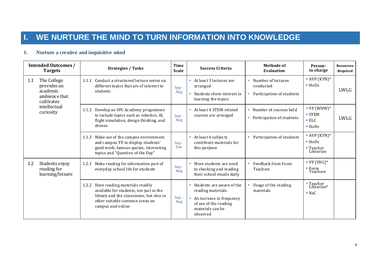# **I. WE NURTURE THE MIND TO TURN INFORMATION INTO KNOWLEDGE**

### **1. Nurture a creative and inquisitive mind**

|     | <b>Intended Outcomes /</b><br><b>Targets</b>                          | <b>Strategies / Tasks</b>                                                                                                                                                            | <b>Time</b><br><b>Scale</b> | <b>Success Criteria</b>                                                                                                             | <b>Methods of</b><br>Evaluation                              | Person-<br>in-charge                                               | <b>Resources</b><br>Required |
|-----|-----------------------------------------------------------------------|--------------------------------------------------------------------------------------------------------------------------------------------------------------------------------------|-----------------------------|-------------------------------------------------------------------------------------------------------------------------------------|--------------------------------------------------------------|--------------------------------------------------------------------|------------------------------|
| 1.1 | The College<br>provides an<br>academic<br>ambience that<br>cultivates | Conduct a structured lecture series on<br>1.1.1<br>different to pics that are of interest to<br>students                                                                             | Sep-<br>Aug                 | • At least 3 lectures are<br>arranged<br>Students show interest in<br>learning the topics                                           | Number of lectures<br>conducted<br>Participation of students | • AVP $(KYN)*$<br>$\bullet$ HoDs                                   | LWLG                         |
|     | intellectual<br>curiosity                                             | Develop an SPC Academy programme<br>1.1.2<br>to include topics such as robotics, AI,<br>flight simulation, design thinking, and<br>drones                                            | Sep-<br>Aug                 | At least 4 STEM-related<br>٠<br>courses are arranged                                                                                | • Number of courses held<br>• Participation of students      | • $VP(WHW)^*$<br>$\bullet$ STEM<br>$\bullet$ ELC<br>$\bullet$ HoDs | LWLG                         |
|     |                                                                       | 1.1.3 Make use of the campus environment<br>and campus TV to display students'<br>good work, famous quotes, interesting<br>topics and "Question of the Day"                          | Sep-<br>Jun                 | At least 6 subjects<br>٠<br>contribute materials for<br>this purpose                                                                | Participation of students                                    | • AVP $(KYN)*$<br>$\bullet$ HoDs<br>• Teacher<br>Librarian         |                              |
| 1.2 | Students enjoy<br>reading for<br>learning/leisure                     | Make reading for information part of<br>1.2.1<br>everyday school life for students                                                                                                   | Sep-<br>Aug                 | More students are used<br>٠<br>to checking and reading<br>their school emails daily                                                 | Feedback from Form<br>Teachers                               | • $VP$ (YHC) <sup>*</sup><br>$\bullet$ Form<br>Teachers            |                              |
|     |                                                                       | Have reading materials readily<br>1.2.2<br>available for students, not just in the<br>library and the classrooms, but also in<br>other suitable common areas on<br>campus and online | Sep-<br>Aug                 | Students are aware of the<br>reading materials<br>An increase in frequency<br>of use of the reading<br>materials can be<br>observed | Usage of the reading<br>materials                            | $\cdot$ Teacher<br>Librarian*<br>$\bullet$ RaC                     |                              |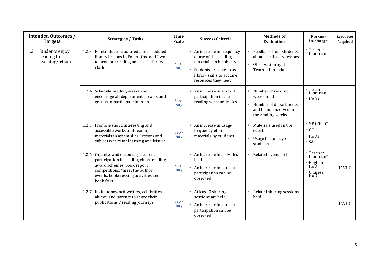| <b>Intended Outcomes /</b><br><b>Targets</b>                 | <b>Strategies / Tasks</b>                                                                                                                                                                             | <b>Time</b><br><b>Scale</b> | <b>Success Criteria</b>                                                                                                                                         | <b>Methods of</b><br><b>Evaluation</b>                                                                      | Person-<br>in-charge                                                            | <b>Resources</b><br>Required |
|--------------------------------------------------------------|-------------------------------------------------------------------------------------------------------------------------------------------------------------------------------------------------------|-----------------------------|-----------------------------------------------------------------------------------------------------------------------------------------------------------------|-------------------------------------------------------------------------------------------------------------|---------------------------------------------------------------------------------|------------------------------|
| Students enjoy<br>$1.2\,$<br>reading for<br>learning/leisure | Reintroduce structured and scheduled<br>1.2.3<br>library lessons in Forms One and Two<br>to promote reading and teach library<br>skills                                                               | Sep-<br>Aug                 | • An increase in frequency<br>of use of the reading<br>material can be observed<br>Students are able to use<br>library skills to acquire<br>resources they need | Feedback from students<br>$\bullet$<br>about the library lessons<br>Observation by the<br>Teacher Librarian | • Teacher<br>Librarian                                                          |                              |
|                                                              | 1.2.4 Schedule reading weeks and<br>encourage all departments, teams and<br>groups to participate in them                                                                                             | Sep -<br>Aug                | An increase in student<br>participation in the<br>reading week activities                                                                                       | Number of reading<br>weeks held<br>Number of departments<br>and teams involved in<br>the reading weeks      | $\cdot$ Teacher<br>Librarian*<br>$\bullet$ HoDs                                 |                              |
|                                                              | 1.2.5 Promote short, interesting and<br>accessible works and reading<br>materials in assemblies, lessons and<br>subject weeks for learning and leisure                                                | Sep-<br>Aug                 | An increase in usage<br>$\bullet$<br>frequency of the<br>materials by students                                                                                  | Materials used in the<br>events<br>Usage frequency of<br>students                                           | $\bullet$ VP (YHC) <sup>*</sup><br>$\cdot$ CC<br>$\bullet$ HoDs<br>$\bullet$ SA |                              |
|                                                              | 1.2.6 Organise and encourage student<br>participation in reading clubs, reading<br>award schemes, book report<br>competitions, "meet the author"<br>events, bookcrossing activities and<br>book fairs | Sep-<br>Aug                 | • An increase in activities<br>held<br>An increase in student<br>participation can be<br>observed                                                               | Related events held<br>$\bullet$                                                                            | • Teacher<br>Librarian*<br>$\cdot$ English<br>HoD<br>• Chinese<br>HoD           | LWLG                         |
|                                                              | Invite renowned writers, celebrities,<br>1.2.7<br>alumni and parents to share their<br>publications / reading journeys                                                                                | Sep-<br>Aug                 | • At least 3 sharing<br>sessions are held<br>An increase in student<br>participation can be<br>observed                                                         | Related sharing sessions<br>held                                                                            |                                                                                 | LWLG                         |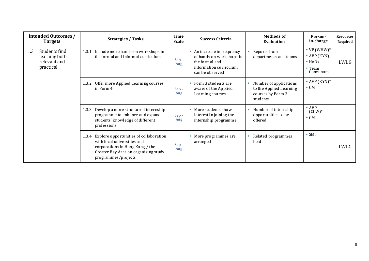| <b>Intended Outcomes /</b><br><b>Targets</b>                       | <b>Time</b><br><b>Strategies / Tasks</b><br><b>Scale</b>                                                                                                                      |                | <b>Success Criteria</b>                                                                                             | <b>Methods of</b><br>Evaluation                                                    | Person-<br>in-charge                                                          | <b>Resources</b><br>Required |
|--------------------------------------------------------------------|-------------------------------------------------------------------------------------------------------------------------------------------------------------------------------|----------------|---------------------------------------------------------------------------------------------------------------------|------------------------------------------------------------------------------------|-------------------------------------------------------------------------------|------------------------------|
| Students find<br>1.3<br>learning both<br>relevant and<br>practical | Include more hands-on workshops in<br>1.3.1<br>the formal and informal curriculum                                                                                             | Sep-<br>Aug    | An increase in frequency<br>of hands-on workshops in<br>the formal and<br>information curriculum<br>can be observed | Reports from<br>departments and teams                                              | • $VP(WHW)^*$<br>$\bullet$ AVP (KYN)<br>$\bullet$ HoDs<br>• Team<br>Convenors | LWLG                         |
|                                                                    | Offer more Applied Learning courses<br>1.3.2<br>in Form 4                                                                                                                     | Sep-<br>Aug    | Form 3 students are<br>aware of the Applied<br>Learning courses                                                     | Number of applications<br>to the Applied Learning<br>courses by Form 3<br>students | • AVP $(KYN)*$<br>$\bullet$ CM                                                |                              |
|                                                                    | Develop a more structured internship<br>1.3.3<br>programme to enhance and expand<br>students' knowledge of different<br>professions                                           | $Sep -$<br>Aug | More students show<br>interest in joining the<br>internship programme                                               | Number of internship<br>opportunities to be<br>offered                             | $\bullet$ AVP<br>$(CLW)^*$<br>$\bullet$ CM                                    |                              |
|                                                                    | 1.3.4 Explore opportunities of collaboration<br>with local universities and<br>corporations in Hong Kong / the<br>Greater Bay Area on organising study<br>programmes/projects | Sep-<br>Aug    | More programmes are<br>arranged                                                                                     | Related programmes<br>held                                                         | $\bullet$ SMT                                                                 | LWLG                         |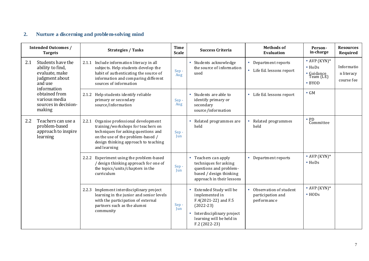## **2. Nurture a discerning and problem-solving mind**

|     | <b>Intended Outcomes /</b><br><b>Targets</b>                                                        | <b>Strategies / Tasks</b>                                                                                                                                                                                            | <b>Time</b><br><b>Scale</b> | <b>Success Criteria</b>                                                                                                                                                  | <b>Methods of</b><br><b>Evaluation</b>                     | Person-<br>in-charge                                                          | <b>Resources</b><br>Required           |
|-----|-----------------------------------------------------------------------------------------------------|----------------------------------------------------------------------------------------------------------------------------------------------------------------------------------------------------------------------|-----------------------------|--------------------------------------------------------------------------------------------------------------------------------------------------------------------------|------------------------------------------------------------|-------------------------------------------------------------------------------|----------------------------------------|
| 2.1 | Students have the<br>ability to find,<br>evaluate, make<br>judgment about<br>and use<br>information | 2.1.1 Include information literacy in all<br>subjects. Help students develop the<br>habit of authenticating the source of<br>information and comparing different<br>sources of information                           | Sep-<br>Aug                 | Students acknowledge<br>the source of information<br>used                                                                                                                | Department reports<br>• Life Ed. lessons report            | • AVP $(KYN)*$<br>$\bullet$ HoDs<br>• Guidance<br>Team (LE)<br>$\bullet$ BYOD | Informatio<br>n literacy<br>course fee |
|     | obtained from<br>various media<br>sources in decision-<br>making                                    | 2.1.2 Help students identify reliable<br>primary or secondary<br>source/information                                                                                                                                  | Sep-<br>Aug                 | Students are able to<br>identify primary or<br>secondary<br>source/information                                                                                           | • Life Ed. lessons report                                  | $\bullet$ GM                                                                  |                                        |
| 2.2 | Teachers can use a<br>problem-based<br>approach to inspire<br>learning                              | Organise professional development<br>2.2.1<br>training/workshops for teachers on<br>techniques for asking questions and<br>on the use of the problem-based /<br>design thinking approach to teaching<br>and learning | Sep-<br>Jun                 | Related programmes are<br>held                                                                                                                                           | Related programmes<br>held                                 | • PD<br>Committee                                                             |                                        |
|     |                                                                                                     | Experiment using the problem-based<br>2.2.2<br>/ design thinking approach for one of<br>the topics/units/chapters in the<br>curriculum                                                                               | Sep-<br>Jun                 | Teachers can apply<br>$\bullet$<br>techniques for asking<br>questions and problem-<br>based / design thinking<br>approach in their lessons                               | • Department reports                                       | • AVP $(KYN)*$<br>$\bullet$ HoDs                                              |                                        |
|     |                                                                                                     | 2.2.3 Implement interdisciplinary project<br>learning in the junior and senior levels<br>with the participation of external<br>partners such as the alumni<br>community                                              | Sep-<br>Jun                 | Extended Study will be<br>implemented in<br>F.4(2021-22) and F.5<br>$(2022 - 23)$<br>Interdisciplinary project<br>$\bullet$<br>learning will be held in<br>F.2 (2022-23) | Observation of student<br>participation and<br>performance | • AVP $(KYN)*$<br>$\cdot$ HODs                                                |                                        |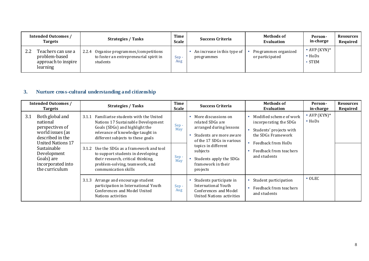| <b>Intended Outcomes /</b><br><b>Targets</b>                                  | <b>Strategies / Tasks</b>                                                                    | Time<br><b>Scale</b> | <b>Success Criteria</b>                   | <b>Methods of</b><br>Evaluation         | Person-<br>in-charge                                         | <b>Resources</b><br>Required |
|-------------------------------------------------------------------------------|----------------------------------------------------------------------------------------------|----------------------|-------------------------------------------|-----------------------------------------|--------------------------------------------------------------|------------------------------|
| 2.2<br>Teachers can use a<br>problem-based<br>approach to inspire<br>learning | 2.2.4 Organise programmes/competitions<br>to foster an entrepreneurial spirit in<br>students | $Sep -$<br>Aug       | An increase in this type of<br>programmes | Programmes organized<br>or participated | $\bullet$ AVP (KYN) <sup>*</sup><br>$\bullet$ HoDs<br>• STEM |                              |

### **3. Nurture cross-cultural understanding and citizenship**

| <b>Intended Outcomes /</b><br><b>Targets</b>                                                                                                                                                          | <b>Strategies / Tasks</b>                                                                                                                                                                                                                                                                                                                                                            | Time<br><b>Scale</b>       | <b>Success Criteria</b>                                                                                                                                                                                                       | <b>Methods of</b><br><b>Evaluation</b>                                                                                                                             | Person-<br>in-charge             | <b>Resources</b><br>Required |
|-------------------------------------------------------------------------------------------------------------------------------------------------------------------------------------------------------|--------------------------------------------------------------------------------------------------------------------------------------------------------------------------------------------------------------------------------------------------------------------------------------------------------------------------------------------------------------------------------------|----------------------------|-------------------------------------------------------------------------------------------------------------------------------------------------------------------------------------------------------------------------------|--------------------------------------------------------------------------------------------------------------------------------------------------------------------|----------------------------------|------------------------------|
| 3.1<br>Both global and<br>national<br>perspectives of<br>world issues (as<br>described in the<br>United Nations 17<br>Sustainable<br>Development<br>Goals) are<br>incorporated into<br>the curriculum | Familiarise students with the United<br>3.1.1<br>Nations 17 Sustainable Development<br>Goals (SDGs) and highlight the<br>relevance of knowledge taught in<br>different subjects to these goals<br>Use the SDGs as a framework and tool<br>3.1.2<br>to support students in developing<br>their research, critical thinking,<br>problem-solving, teamwork, and<br>communication skills | Sep-<br>May<br>Sep-<br>May | • More discussions on<br>related SDGs are<br>arranged during lessons<br>Students are more aware<br>of the 17 SDGs in various<br>topics in different<br>subjects<br>Students apply the SDGs<br>fram ework in their<br>projects | Modified scheme of work<br>incorporating the SDGs<br>Students' projects with<br>the SDGs Framework<br>Feedback from HoDs<br>Feedback from teachers<br>and students | • AVP $(KYN)*$<br>$\bullet$ HoDs |                              |
|                                                                                                                                                                                                       | Arrange and encourage student<br>3.1.3<br>participation in International Youth<br>Conferences and Model United<br>Nations activities                                                                                                                                                                                                                                                 | $Sep -$<br>Aug             | Students participate in<br>International Youth<br>Conferences and Model<br>United Nations activities                                                                                                                          | Student participation<br>Feedback from teachers<br>and students                                                                                                    | $\bullet$ OLEC                   |                              |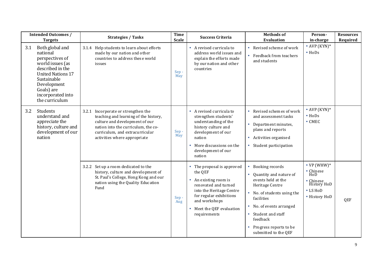|     | <b>Intended Outcomes /</b><br><b>Targets</b>                                                                                                                                                          | <b>Strategies / Tasks</b>                                                                                                                                                                                                | <b>Time</b><br><b>Scale</b> | <b>Success Criteria</b>                                                                                                                                                                                              | <b>Methods of</b><br><b>Evaluation</b>                                                                                                                                                                                                                      | Person-<br>in-charge                                                                                      | <b>Resources</b><br>Required |
|-----|-------------------------------------------------------------------------------------------------------------------------------------------------------------------------------------------------------|--------------------------------------------------------------------------------------------------------------------------------------------------------------------------------------------------------------------------|-----------------------------|----------------------------------------------------------------------------------------------------------------------------------------------------------------------------------------------------------------------|-------------------------------------------------------------------------------------------------------------------------------------------------------------------------------------------------------------------------------------------------------------|-----------------------------------------------------------------------------------------------------------|------------------------------|
| 3.1 | Both global and<br>national<br>perspectives of<br>world issues (as<br>described in the<br><b>United Nations 17</b><br>Sustainable<br>Development<br>Goals) are<br>incorporated into<br>the curriculum | 3.1.4 Help students to learn about efforts<br>made by our nation and other<br>countries to address these world<br>issues                                                                                                 | Sep-<br>May                 | A revised curricula to<br>$\bullet$<br>address world issues and<br>explain the efforts made<br>by our nation and other<br>countries                                                                                  | Revised scheme of work<br>• Feedback from teachers<br>and students                                                                                                                                                                                          | • AVP $(KYN)*$<br>$\bullet$ HoDs                                                                          |                              |
| 3.2 | Students<br>understand and<br>appreciate the<br>history, culture and<br>development of our<br>nation                                                                                                  | 3.2.1 Incorporate or strengthen the<br>teaching and learning of the history,<br>culture and development of our<br>nation into the curriculum, the co-<br>curriculum, and extracurricular<br>activities where appropriate | Sep-<br>May                 | A revised curricula to<br>strengthen students'<br>understanding of the<br>history culture and<br>development of our<br>nation<br>More discussions on the<br>development of our<br>nation                             | Revised schemes of work<br>and assessment tasks<br>Department minutes,<br>plans and reports<br>• Activities organised<br>• Student participation                                                                                                            | • AVP $(KYN)*$<br>$\bullet$ HoDs<br>$\bullet$ CMEC                                                        |                              |
|     |                                                                                                                                                                                                       | 3.2.2 Set up a room dedicated to the<br>history, culture and development of<br>St. Paul's College, Hong Kong and our<br>nation using the Quality Education<br>Fund                                                       | Sep-<br>Aug                 | • The proposal is approved<br>the QEF<br>An existing room is<br>$\bullet$<br>renovated and turned<br>into the Heritage Centre<br>for regular exhibitions<br>and workshops<br>Meet the QEF evaluation<br>requirements | Booking records<br>$\bullet$<br>Quantity and nature of<br>events held at the<br>Heritage Centre<br>• No. of students using the<br>facilities<br>No. of events arranged<br>• Student and staff<br>feedback<br>Progress reports to be<br>submitted to the QEF | • $VP$ (WHW)*<br>• Chinese<br>$H$ <sub>O</sub> D<br>• Chinese<br>History HoD<br>• LS HoD<br>• History HoD | QEF                          |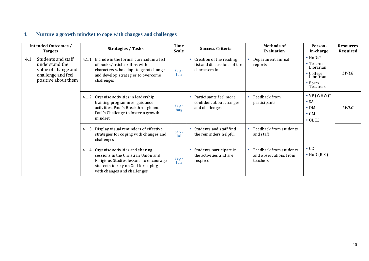### **4. Nurture a growth mindset to cope with changes and challenges**

|     | <b>Intended Outcomes /</b><br><b>Targets</b>                                                             |       | <b>Strategies / Tasks</b>                                                                                                                                                                   | <b>Time</b><br><b>Scale</b> | <b>Success Criteria</b>                                                       | <b>Methods of</b><br><b>Evaluation</b>                      | Person-<br>in-charge                                                                              | <b>Resources</b><br>Required |
|-----|----------------------------------------------------------------------------------------------------------|-------|---------------------------------------------------------------------------------------------------------------------------------------------------------------------------------------------|-----------------------------|-------------------------------------------------------------------------------|-------------------------------------------------------------|---------------------------------------------------------------------------------------------------|------------------------------|
| 4.1 | Students and staff<br>understand the<br>value of change and<br>challenge and feel<br>positive about them | 4.1.1 | Include in the formal curriculum a list<br>of books/articles/films with<br>characters who adapt to great changes<br>and develop strategies to overcome<br>challenges                        | Sep-<br>Jun                 | Creation of the reading<br>list and discussions of the<br>characters in class | Department annual<br>reports                                | $\bullet$ HoDs*<br>• Teacher<br>Librarian<br>• College<br>Librarian<br>$\bullet$ Form<br>Teachers | LWLG                         |
|     |                                                                                                          | 4.1.2 | Organise activities in leadership<br>training programmes, guidance<br>activities, Paul's Breakthrough and<br>Paul's Challenge to foster a growth<br>mindset                                 | Sep-<br>Aug                 | Participants feel more<br>confident about changes<br>and challenges           | Feedback from<br>participants                               | • $VP$ (WHW)*<br>$\bullet$ SA<br>$\bullet$ DM<br>$\bullet$ GM<br>$\bullet$ OLEC                   | <i>LWLG</i>                  |
|     |                                                                                                          | 4.1.3 | Display visual reminders of effective<br>strategies for coping with changes and<br>challenges                                                                                               | Sep-<br>Jul                 | Students and staff find<br>the reminders helpful                              | Feedback from students<br>and staff                         |                                                                                                   |                              |
|     |                                                                                                          |       | 4.1.4 Organise activities and sharing<br>sessions in the Christian Union and<br>Religious Studies lessons to encourage<br>students to rely on God for coping<br>with changes and challenges | Sep-<br>Jun                 | Students participate in<br>the activities and are<br>inspired                 | Feedback from students<br>and observations from<br>teachers | $\bullet$ CC<br>$\bullet$ HoD (R.S.)                                                              |                              |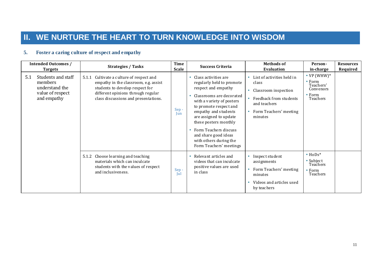# **II. WE NURTURE THE HEART TO TURN KNOWLEDGE INTO WISDOM**

#### **5. Foster a caring culture of respect and empathy**

| <b>Intended Outcomes /</b><br><b>Targets</b>                                              | <b>Strategies / Tasks</b>                                                                                                                                                                             | <b>Time</b><br><b>Scale</b> | <b>Success Criteria</b>                                                                                                                                                                                                                                                                                                                      | <b>Methods of</b><br><b>Evaluation</b>                                                                                                     | Person-<br>in-charge                                                                                | <b>Resources</b><br>Required |
|-------------------------------------------------------------------------------------------|-------------------------------------------------------------------------------------------------------------------------------------------------------------------------------------------------------|-----------------------------|----------------------------------------------------------------------------------------------------------------------------------------------------------------------------------------------------------------------------------------------------------------------------------------------------------------------------------------------|--------------------------------------------------------------------------------------------------------------------------------------------|-----------------------------------------------------------------------------------------------------|------------------------------|
| 5.1<br>Students and staff<br>members<br>understand the<br>value of respect<br>and empathy | Cultivate a culture of respect and<br>5.1.1<br>empathy in the classroom, e.g. assist<br>students to develop respect for<br>different opinions through regular<br>class discussions and presentations. | Sep-<br>Jun                 | Class activities are<br>regularly held to promote<br>respect and empathy<br>Classrooms are decorated<br>with a variety of posters<br>to promote respect and<br>empathy and students<br>are assigned to update<br>these posters monthly<br>Form Teachers discuss<br>and share good ideas<br>with others during the<br>Form Teachers' meetings | List of activities held in<br>class<br>Classroom inspection<br>Feedback from students<br>and teachers<br>Form Teachers' meeting<br>minutes | • $VP$ (WHW) <sup>*</sup><br>$\bullet$ Form<br>Teachers'<br>Convenors<br>$\bullet$ Form<br>Teachers |                              |
|                                                                                           | Choose learning and teaching<br>5.1.2<br>materials which can inculcate<br>students with the values of respect<br>and inclusiveness.                                                                   | Sep-<br>Jul                 | Relevant articles and<br>videos that can inculcate<br>positive values are used<br>in class                                                                                                                                                                                                                                                   | Inspect student<br>assignments<br>Form Teachers' meeting<br>minutes<br>Videos and articles used<br>by teachers                             | $\bullet$ HoDs*<br>• Subject<br>Teachers<br>$\bullet$ Form<br>Teachers                              |                              |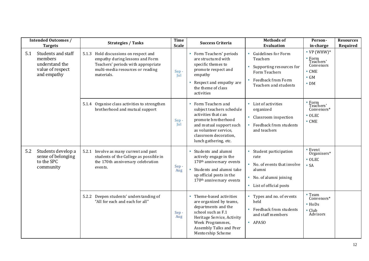|     | <b>Intended Outcomes /</b>                                                                           | <b>Strategies / Tasks</b>                                                                                                                                        | <b>Time</b><br><b>Scale</b> | <b>Success Criteria</b>                                                                                                                                                                                         | <b>Methods of</b><br><b>Evaluation</b>                                                                                                                | Person-                                                                                                          | <b>Resources</b><br>Required |
|-----|------------------------------------------------------------------------------------------------------|------------------------------------------------------------------------------------------------------------------------------------------------------------------|-----------------------------|-----------------------------------------------------------------------------------------------------------------------------------------------------------------------------------------------------------------|-------------------------------------------------------------------------------------------------------------------------------------------------------|------------------------------------------------------------------------------------------------------------------|------------------------------|
| 5.1 | <b>Targets</b><br>Students and staff<br>members<br>understand the<br>value of respect<br>and empathy | 5.1.3 Hold discussions on respect and<br>empathy during lessons and Form<br>Teachers' periods with appropriate<br>multi-media resources or reading<br>materials. | Sep-<br>Jul                 | • Form Teachers' periods<br>are structured with<br>specific themes to<br>promote respect and<br>empathy<br>Respect and empathy are<br>$\bullet$<br>the theme of class<br>activities                             | Guidelines for Form<br>Teachers<br>Supporting resources for<br>$\bullet$<br>Form Teachers<br>Feedback from Form<br>$\bullet$<br>Teachers and students | in-charge<br>• VP (WHW) $*$<br>• Form<br>Teachers'<br>Convenors<br>$\bullet$ CME<br>$\bullet$ GM<br>$\bullet$ DM |                              |
|     |                                                                                                      | 5.1.4 Organise class activities to strengthen<br>brotherhood and mutual support                                                                                  | Sep-<br>Jul                 | • Form Teachers and<br>subject teachers schedule<br>activities that can<br>promote brotherhood<br>and mutual support such<br>as volunteer service,<br>classroom decoration,<br>lunch gathering, etc.            | • List of activities<br>organized<br>Classroom inspection<br>$\bullet$<br>Feedback from students<br>and teachers                                      | • Form<br>Teachers'<br>Convenors*<br>$\bullet$ OLEC<br>$\bullet$ CME                                             |                              |
| 5.2 | Students develop a<br>sense of belonging<br>to the SPC<br>community                                  | 5.2.1 Involve as many current and past<br>students of the College as possible in<br>the 170th anniversary celebration<br>events.                                 | Sep-<br>Aug                 | Students and alumni<br>$\bullet$<br>actively engage in the<br>170 <sup>th</sup> anniversary events<br>Students and alumni take<br>$\bullet$<br>up official posts in the<br>170 <sup>th</sup> anniversary events | Student participation<br>rate<br>• No. of events that involve<br>alumni<br>No. of alumni joining<br>$\bullet$<br>• List of official posts             | • Event<br>Organisers*<br>$\bullet$ OLEC<br>$\bullet$ SA                                                         |                              |
|     |                                                                                                      | Deepen students' understanding of<br>5.2.2<br>"All for each and each for all"                                                                                    | Sep-<br>Aug                 | • Theme-based activities<br>are organized by teams,<br>departments and the<br>school such as F.1<br>Heritage Service, Activity<br>Week Programmes,<br>Assembly Talks and Peer<br>Mentorship Scheme              | Types and no. of events<br>held<br>Feedback from students<br>$\bullet$<br>and staff members<br>• APASO                                                | $\bullet$ Team<br>Convenors*<br>$\bullet$ HoDs<br>$\bullet$ Club<br>Advisors                                     |                              |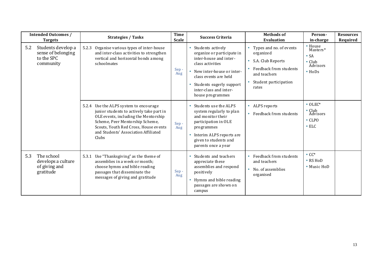|     | <b>Intended Outcomes /</b><br><b>Targets</b>                        | <b>Strategies / Tasks</b>                                                                                                                                                                                                                               | <b>Time</b><br><b>Scale</b> | <b>Success Criteria</b>                                                                                                                                                                                                            | <b>Methods of</b><br><b>Evaluation</b>                                                                                                             | Person-<br>in-charge                                                                | <b>Resources</b><br>Required |
|-----|---------------------------------------------------------------------|---------------------------------------------------------------------------------------------------------------------------------------------------------------------------------------------------------------------------------------------------------|-----------------------------|------------------------------------------------------------------------------------------------------------------------------------------------------------------------------------------------------------------------------------|----------------------------------------------------------------------------------------------------------------------------------------------------|-------------------------------------------------------------------------------------|------------------------------|
| 5.2 | Students develop a<br>sense of belonging<br>to the SPC<br>community | Organise various types of inter-house<br>5.2.3<br>and inter-class activities to strengthen<br>vertical and horizontal bonds among<br>schoolmates                                                                                                        | Sep-<br>Aug                 | Students actively<br>organize or participate in<br>inter-house and inter-<br>class activities<br>New inter-house or inter-<br>٠<br>class events are held<br>Students eagerly support<br>inter-class and inter-<br>house programmes | Types and no. of events<br>organized<br>S.A. Club Reports<br>$\bullet$<br>Feedback from students<br>and teachers<br>Student participation<br>rates | • House<br>Masters*<br>$\bullet$ SA<br>$\bullet$ Club<br>Advisors<br>$\bullet$ HoDs |                              |
|     |                                                                     | 5.2.4 Use the ALPS system to encourage<br>junior students to actively take part in<br>OLE events, including the Mentorship<br>Scheme, Peer Mentorship Scheme,<br>Scouts, Youth Red Cross, House events<br>and Students' Association Affiliated<br>Clubs | Sep-<br>Aug                 | Students use the ALPS<br>system regularly to plan<br>and monitor their<br>participation in OLE<br>programmes<br>Interim ALPS reports are<br>given to students and<br>parents once a year                                           | • ALPS reports<br>• Feedback from students                                                                                                         | $\bullet$ OLEC*<br>• Club<br>Advisors<br>$\cdot$ CLPO<br>$\cdot$ ELC                |                              |
| 5.3 | The school<br>develops a culture<br>of giving and<br>gratitude      | 5.3.1 Use "Thanksgiving" as the theme of<br>assemblies in a week or month;<br>choose hymns and bible reading<br>passages that disseminate the<br>messages of giving and gratitude                                                                       | Sep-<br>Aug                 | Students and teachers<br>appreciate these<br>assemblies and respond<br>positively<br>Hymns and bible reading<br>passages are shown on<br>campus                                                                                    | Feedback from students<br>and teachers<br>No. of assemblies<br>$\bullet$<br>organised                                                              | $\cdot$ CC*<br>• RS HoD<br>• Music HoD                                              |                              |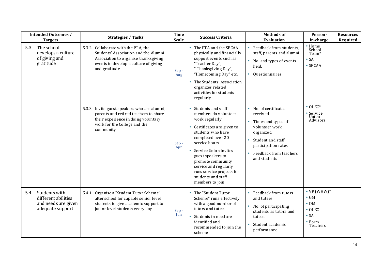|                                                                       | <b>Intended Outcomes /</b><br><b>Targets</b>                                                                                                                                  | <b>Strategies / Tasks</b>                                                                                                                                                   | <b>Time</b><br><b>Scale</b>                                                                                                                                                                                                                   | <b>Success Criteria</b>                                                                                                                                                                                                                                                                                                     | <b>Methods of</b><br><b>Evaluation</b>                                                                                                                                         | Person-<br>in-charge                                                                                          | <b>Resources</b><br>Required |
|-----------------------------------------------------------------------|-------------------------------------------------------------------------------------------------------------------------------------------------------------------------------|-----------------------------------------------------------------------------------------------------------------------------------------------------------------------------|-----------------------------------------------------------------------------------------------------------------------------------------------------------------------------------------------------------------------------------------------|-----------------------------------------------------------------------------------------------------------------------------------------------------------------------------------------------------------------------------------------------------------------------------------------------------------------------------|--------------------------------------------------------------------------------------------------------------------------------------------------------------------------------|---------------------------------------------------------------------------------------------------------------|------------------------------|
| The school<br>5.3<br>develops a culture<br>of giving and<br>gratitude | 5.3.2 Collaborate with the PTA, the<br>Students' Association and the Alumni<br>Association to organise thanksgiving<br>events to develop a culture of giving<br>and gratitude | Sep-<br>Aug                                                                                                                                                                 | • The PTA and the SPCAA<br>physically and financially<br>support events such as<br>"Teacher Day",<br>"Thanksgiving Day",<br>"Homecoming Day" etc.<br>• The Students' Association<br>organizes related<br>activities for students<br>regularly | • Feedback from students,<br>staff, parents and alumni<br>No. and types of events<br>held.<br>Questionnaires<br>$\bullet$                                                                                                                                                                                                   | • Home<br>School<br>Team <sup>*</sup><br>$\bullet$ SA<br>$\bullet$ SPCAA                                                                                                       |                                                                                                               |                              |
|                                                                       |                                                                                                                                                                               | Invite guest speakers who are alumni,<br>5.3.3<br>parents and retired teachers to share<br>their experience in doing voluntary<br>work for the College and the<br>community | Sep-<br>Apr                                                                                                                                                                                                                                   | Students and staff<br>members do volunteer<br>work regularly<br>Certificates are given to<br>۰<br>students who have<br>completed over 20<br>service hours<br>Service Union invites<br>guest speakers to<br>promote community<br>service and regularly<br>runs service projects for<br>students and staff<br>members to join | • No. of certificates<br>received.<br>Times and types of<br>volunteer work<br>organized.<br>Student and staff<br>participation rates<br>Feedback from teachers<br>and students | $\bullet$ OLEC*<br>• Service<br>Union<br>Advisors                                                             |                              |
| 5.4                                                                   | Students with<br>different abilities<br>and needs are given<br>adequate support                                                                                               | 5.4.1 Organise a "Student Tutor Scheme"<br>after school for capable senior level<br>students to give academic support to<br>junior level students every day                 | Sep-<br>Jun                                                                                                                                                                                                                                   | The "Student Tutor<br>Scheme" runs effectively<br>with a good number of<br>tutors and tutees<br>Students in need are<br>$\bullet$<br>identified and<br>recommended to join the<br>scheme                                                                                                                                    | • Feedback from tutors<br>and tutees<br>No. of participating<br>۰<br>students as tutors and<br>tutees.<br>Student academic<br>performance                                      | • $VP$ (WHW)*<br>$\bullet$ GM<br>$\bullet$ DM<br>$\bullet$ OLEC<br>$\bullet$ SA<br>$\bullet$ Form<br>Teachers |                              |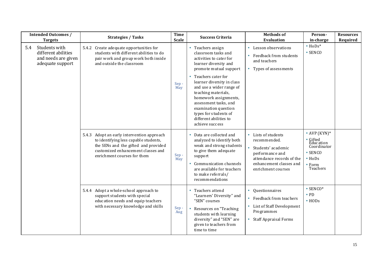|     | <b>Intended Outcomes /</b><br><b>Targets</b>                                    | <b>Strategies / Tasks</b>                                                                                                                                                                        | <b>Time</b><br><b>Scale</b> | <b>Success Criteria</b>                                                                                                                                                                                                                                                                                                                                                         | <b>Methods of</b><br><b>Evaluation</b>                                                                                                                   | Person-<br>in-charge                                                                                                           | <b>Resources</b><br>Required |
|-----|---------------------------------------------------------------------------------|--------------------------------------------------------------------------------------------------------------------------------------------------------------------------------------------------|-----------------------------|---------------------------------------------------------------------------------------------------------------------------------------------------------------------------------------------------------------------------------------------------------------------------------------------------------------------------------------------------------------------------------|----------------------------------------------------------------------------------------------------------------------------------------------------------|--------------------------------------------------------------------------------------------------------------------------------|------------------------------|
| 5.4 | Students with<br>different abilities<br>and needs are given<br>adequate support | 5.4.2 Create adequate opportunities for<br>students with different abilities to do<br>pair work and group work both inside<br>and outside the classroom                                          | Sep-<br>May                 | • Teachers assign<br>classroom tasks and<br>activities to cater for<br>learner diversity and<br>promote mutual support<br>• Teachers cater for<br>learner diversity in class<br>and use a wider range of<br>teaching materials,<br>homework assignments,<br>assessment tasks, and<br>examination question<br>types for students of<br>different abilities to<br>achieve success | • Lesson observations<br>Feedback from students<br>and teachers<br>Types of assessments                                                                  | $\bullet$ HoDs*<br>$\bullet$ SENCO                                                                                             |                              |
|     |                                                                                 | 5.4.3 Adopt an early intervention approach<br>to identifying less capable students,<br>the SENs and the gifted and provided<br>customized enhancement classes and<br>enrichment courses for them | Sep-<br>May                 | • Data are collected and<br>analyzed to identify both<br>weak and strong students<br>to give them adequate<br>support<br>Communication channels<br>$\bullet$<br>are available for teachers<br>to make referrals/<br>recommendations                                                                                                                                             | Lists of students<br>recommended.<br>Students' academic<br>performance and<br>attendance records of the<br>enhancement classes and<br>enrichment courses | • AVP $(KYN)*$<br>• Gifted<br>Education<br>Coordinator<br>$\cdot$ SENCO<br>$\bullet$ HoDs<br>$\bullet$ Form<br><b>Teachers</b> |                              |
|     |                                                                                 | 5.4.4 Adopt a whole-school approach to<br>support students with special<br>education needs and equip teachers<br>with necessary knowledge and skills                                             | Sep-<br>Aug                 | Teachers attend<br>٠<br>"Learners' Diversity" and<br>"SEN" courses<br>Resources on "Teaching<br>۰<br>students with learning<br>diversity" and "SEN" are<br>given to teachers from<br>time to time                                                                                                                                                                               | • Questionnaires<br>• Feedback from teachers<br>• List of Staff Development<br>Programmes<br>• Staff Appraisal Forms                                     | $\cdot$ SENCO*<br>$\bullet$ PD<br>$\bullet$ HODs                                                                               |                              |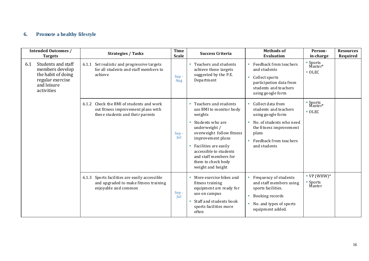### **6. Promote a healthy lifestyle**

|                   | <b>Intended Outcomes /</b><br><b>Targets</b>                                                   | <b>Strategies / Tasks</b>                                                                                             | <b>Time</b><br><b>Scale</b> | <b>Success Criteria</b>                                                                                                                                                                                                                                                     | <b>Methods of</b><br><b>Evaluation</b>                                                                                                                                    | Person-<br>in-charge                  | <b>Resources</b><br>Required |
|-------------------|------------------------------------------------------------------------------------------------|-----------------------------------------------------------------------------------------------------------------------|-----------------------------|-----------------------------------------------------------------------------------------------------------------------------------------------------------------------------------------------------------------------------------------------------------------------------|---------------------------------------------------------------------------------------------------------------------------------------------------------------------------|---------------------------------------|------------------------------|
| 6.1<br>activities | Students and staff<br>members develop<br>the habit of doing<br>regular exercise<br>and leisure | 6.1.1 Set realistic and progressive targets<br>for all students and staff members to<br>achieve                       | Sep-<br>Aug                 | Teachers and students<br>achieve those targets<br>suggested by the P.E.<br>Department                                                                                                                                                                                       | Feedback from teachers<br>and students<br>Collect sports<br>participation data from<br>students and teachers<br>using google form                                         | • Sports<br>Master*<br>$\bullet$ OLEC |                              |
|                   |                                                                                                | Check the BMI of students and work<br>6.1.2<br>out fitness improvement plans with<br>these students and their parents | Sep-<br>Jul                 | • Teachers and students<br>use BMI to monitor body<br>weights<br>Students who are<br>underweight /<br>overweight follow fitness<br>improvement plans<br>Facilities are easily<br>accessible to students<br>and staff members for<br>them to check body<br>weight and height | Collect data from<br>students and teachers<br>using google form<br>No. of students who need<br>the fitness improvement<br>plans<br>Feedback from teachers<br>and students | • Sports<br>Master*<br>$\bullet$ OLEC |                              |
|                   |                                                                                                | Sports facilities are easily accessible<br>6.1.3<br>and upgraded to make fitness training<br>enjoyable and common     | Sep-<br>Jul                 | More exercise bikes and<br>fitness training<br>equipment are ready for<br>use on campus<br>Staff and students book<br>sports facilities more<br>often                                                                                                                       | Frequency of students<br>and staff members using<br>sports facilities.<br>Booking records<br>No. and types of sports<br>$\bullet$<br>equipment added.                     | • $VP$ (WHW)*<br>• Sports<br>Master   |                              |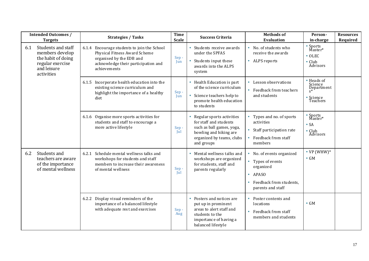|     | <b>Intended Outcomes /</b><br><b>Targets</b>                                                                 | <b>Strategies / Tasks</b>                                                                                                                                       | <b>Time</b><br><b>Scale</b> | <b>Success Criteria</b>                                                                                                                               | <b>Methods of</b><br><b>Evaluation</b>                                                                                                                | Person-<br>in-charge                                                | <b>Resources</b><br>Required |
|-----|--------------------------------------------------------------------------------------------------------------|-----------------------------------------------------------------------------------------------------------------------------------------------------------------|-----------------------------|-------------------------------------------------------------------------------------------------------------------------------------------------------|-------------------------------------------------------------------------------------------------------------------------------------------------------|---------------------------------------------------------------------|------------------------------|
| 6.1 | Students and staff<br>members develop<br>the habit of doing<br>regular exercise<br>and leisure<br>activities | 6.1.4 Encourage students to join the School<br>Physical Fitness Award Scheme<br>organised by the EDB and<br>acknowledge their participation and<br>achievements | Sep-<br>Jun                 | • Students receive awards<br>under the SPFAS<br>Students input these<br>$\bullet$<br>awards into the ALPS<br>system                                   | • No. of students who<br>receive the awards<br>• ALPS reports                                                                                         | • Sports<br>Master*<br>$\bullet$ OLEC<br>$\bullet$ Club<br>Advisors |                              |
|     |                                                                                                              | Incorporate health education into the<br>6.1.5<br>existing science curriculum and<br>highlight the importance of a healthy<br>diet                              | Sep-<br>Jun                 | • Health Education is part<br>of the science curriculum<br>Science teachers help to<br>$\bullet$<br>promote health education<br>to students           | Lesson observations<br>• Feedback from teachers<br>and students                                                                                       | • Heads of<br>Science<br>Department<br>• Science<br>Teachers        |                              |
|     |                                                                                                              | Organise more sports activities for<br>6.1.6<br>students and staff to encourage a<br>more active lifestyle                                                      | Sep-<br>Jul                 | Regular sports activities<br>for staff and students<br>such as ball games, yoga,<br>bowling and hiking are<br>organized by teams, clubs<br>and groups | Types and no. of sports<br>activities<br>Staff participation rate<br>$\bullet$<br>Feedback from staff<br>members                                      | • Sports<br>Master*<br>$\bullet$ SA<br>$\bullet$ Club<br>Advisors   |                              |
| 6.2 | Students and<br>teachers are aware<br>of the importance<br>of mental wellness                                | Schedule mental wellness talks and<br>6.2.1<br>workshops for students and staff<br>members to increase their awareness<br>of mental wellness                    | Sep-<br>Jul                 | • Mental wellness talks and<br>workshops are organized<br>for students, staff and<br>parents regularly                                                | • No. of events organized<br>• Types of events<br>organized<br><b>APASO</b><br>$\bullet$<br>Feedback from students.<br>$\bullet$<br>parents and staff | $\cdot$ VP (WHW) $*$<br>$\bullet$ GM                                |                              |
|     |                                                                                                              | 6.2.2 Display visual reminders of the<br>importance of a balanced lifestyle<br>with adequate rest and exercises                                                 | Sep-<br>Aug                 | Posters and notices are<br>put up in prominent<br>areas to alert staff and<br>students to the<br>importance of having a<br>balanced lifestyle         | Poster contents and<br>locations<br>Feedback from staff<br>$\bullet$<br>members and students                                                          | $\bullet$ GM                                                        |                              |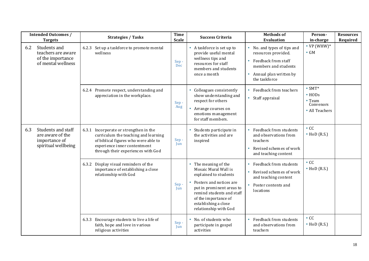|     | <b>Intended Outcomes /</b><br><b>Targets</b>                                   | <b>Strategies / Tasks</b>                                                                                                                                                                    | <b>Time</b><br><b>Scale</b> | <b>Success Criteria</b>                                                                                                                                                                                                                          | <b>Methods of</b><br><b>Evaluation</b>                                                                                                               | Person-<br>in-charge                                                            | <b>Resources</b><br>Required |
|-----|--------------------------------------------------------------------------------|----------------------------------------------------------------------------------------------------------------------------------------------------------------------------------------------|-----------------------------|--------------------------------------------------------------------------------------------------------------------------------------------------------------------------------------------------------------------------------------------------|------------------------------------------------------------------------------------------------------------------------------------------------------|---------------------------------------------------------------------------------|------------------------------|
| 6.2 | Students and<br>teachers are aware<br>of the importance<br>of mental wellness  | 6.2.3 Set up a taskforce to promote mental<br>wellness                                                                                                                                       | Sep-<br>Dec                 | • A taskforce is set up to<br>provide useful mental<br>wellness tips and<br>resources for staff<br>members and students<br>once a month                                                                                                          | • No. and types of tips and<br>resources provided.<br>• Feedback from staff<br>members and students<br>• Annual plan written by<br>the taskforce     | $\cdot$ VP (WHW)*<br>$\bullet$ GM                                               |                              |
|     |                                                                                | 6.2.4 Promote respect, understanding and<br>appreciation in the workplace.                                                                                                                   | Sep-<br>Aug                 | Colleagues consistently<br>show understanding and<br>respect for others<br>• Arrange courses on<br>emotions management<br>for staff members.                                                                                                     | Feedback from teachers<br>• Staff appraisal                                                                                                          | $\bullet$ SMT*<br>$\cdot$ HODs<br>$\bullet$ Team<br>Convenors<br>• All Teachers |                              |
| 6.3 | Students and staff<br>are aware of the<br>importance of<br>spiritual wellbeing | 6.3.1 Incorporate or strengthen in the<br>curriculum the teaching and learning<br>of biblical figures who were able to<br>experience inner contentment<br>through their experiences with God | Sep-<br>Jun                 | Students participate in<br>the activities and are<br>inspired                                                                                                                                                                                    | Feedback from students<br>and observations from<br>teachers<br>Revised schemes of work<br>$\bullet$<br>and teaching content                          | $\cdot$ CC<br>$\bullet$ HoD (R.S.)                                              |                              |
|     |                                                                                | Display visual reminders of the<br>6.3.2<br>importance of establishing a close<br>relationship with God                                                                                      | Sep-<br>Jun                 | • The meaning of the<br>Mosaic Mural Wall is<br>explained to students<br>Posters and notices are<br>$\bullet$<br>put in prominent areas to<br>remind students and staff<br>of the importance of<br>establishing a close<br>relationship with God | Feedback from students<br>$\bullet$<br>Revised schemes of work<br>$\bullet$<br>and teaching content<br>Poster contents and<br>$\bullet$<br>locations | $\cdot$ CC<br>$\bullet$ HoD (R.S.)                                              |                              |
|     |                                                                                | Encourage students to live a life of<br>6.3.3<br>faith, hope and love in various<br>religious activities                                                                                     | Sep-<br>Jun                 | • No. of students who<br>participate in gospel<br>activities                                                                                                                                                                                     | Feedback from students<br>$\bullet$<br>and observations from<br>teachers                                                                             | $\cdot$ CC<br>$\bullet$ HoD (R.S.)                                              |                              |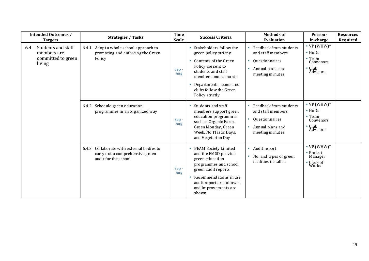|     | <b>Intended Outcomes /</b><br><b>Targets</b>                      | <b>Strategies / Tasks</b>                                                                               | <b>Time</b><br><b>Scale</b> | <b>Success Criteria</b>                                                                                                                                                                                              | <b>Methods of</b><br><b>Evaluation</b>                                                                                 | Person-<br>in-charge                                                                         | <b>Resources</b><br>Required |
|-----|-------------------------------------------------------------------|---------------------------------------------------------------------------------------------------------|-----------------------------|----------------------------------------------------------------------------------------------------------------------------------------------------------------------------------------------------------------------|------------------------------------------------------------------------------------------------------------------------|----------------------------------------------------------------------------------------------|------------------------------|
| 6.4 | Students and staff<br>members are<br>committed to green<br>living | 6.4.1 Adopt a whole school approach to<br>promoting and enforcing the Green<br>Policy                   | Sep-<br>Aug                 | Stakeholders follow the<br>green policy strictly<br>Contents of the Green<br>Policy are sent to<br>students and staff<br>members once a month<br>Departments, teams and<br>clubs follow the Green<br>Policy strictly | Feedback from students<br>and staff members<br>Questionnaires<br>$\bullet$<br>Annual plans and<br>۰<br>meeting minutes | • $VP$ (WHW)*<br>$\bullet$ HoDs<br>$\bullet$ Team<br>Convenors<br>$\bullet$ Club<br>Advisors |                              |
|     |                                                                   | Schedule green education<br>6.4.2<br>programmes in an organized way                                     | Sep-<br>Aug                 | Students and staff<br>members support green<br>education programmes<br>such as Organic Farm,<br>Green Monday, Green<br>Week, No Plastic Days,<br>and Vegetarian Day                                                  | Feedback from students<br>and staff members<br>• Questionnaires<br>Annual plans and<br>meeting minutes                 | • $VP$ (WHW)*<br>$\bullet$ HoDs<br>$\bullet$ Team<br>Convenors<br>• Club<br>Advisors         |                              |
|     |                                                                   | Collaborate with external bodies to<br>6.4.3<br>carry out a comprehensive green<br>audit for the school | Sep-<br>Aug                 | <b>BEAM Society Limited</b><br>and the EMSD provide<br>green education<br>programmes and school<br>green audit reports<br>Recommendations in the<br>audit report are followed<br>and improvements are<br>shown       | • Audit report<br>• No. and types of green<br>facilities installed                                                     | • $VP$ (WHW)*<br>• Project<br>Manager<br>$^{\bullet}$ Clerk of Works                         |                              |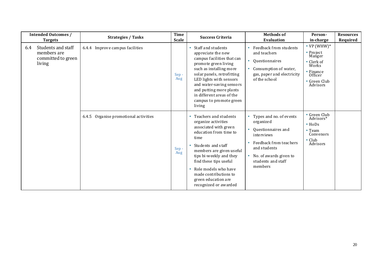| <b>Intended Outcomes /</b><br><b>Targets</b>                             | <b>Strategies / Tasks</b>                | <b>Time</b><br><b>Scale</b> | <b>Success Criteria</b>                                                                                                                                                                                                                                                                                          | <b>Methods of</b><br><b>Evaluation</b>                                                                                                                                        | Person-<br>in-charge                                                                                            | <b>Resources</b><br>Required |
|--------------------------------------------------------------------------|------------------------------------------|-----------------------------|------------------------------------------------------------------------------------------------------------------------------------------------------------------------------------------------------------------------------------------------------------------------------------------------------------------|-------------------------------------------------------------------------------------------------------------------------------------------------------------------------------|-----------------------------------------------------------------------------------------------------------------|------------------------------|
| Students and staff<br>6.4<br>members are<br>committed to green<br>living | 6.4.4 Improve campus facilities          | Sep-<br>Aug                 | Staff and students<br>appreciate the new<br>campus facilities that can<br>promote green living<br>such as installing more<br>solar panels, retrofitting<br>LED lights with sensors<br>and water-saving sensors<br>and putting more plants<br>in different areas of the<br>campus to promote green<br>living      | Feedback from students<br>and teachers<br>Questionnaires<br>Consumption of water,<br>gas, paper and electricity<br>of the school                                              | • $VP$ (WHW)*<br>• Project<br>Manger<br>• Clerk of<br>Works<br>• Finance<br>Officer<br>• Green Club<br>Advisors |                              |
|                                                                          | Organise promotional activities<br>6.4.5 | Sep-<br>Aug                 | Teachers and students<br>organize activities<br>associated with green<br>education from time to<br>time<br>Students and staff<br>members are given us eful<br>tips bi-weekly and they<br>find these tips useful<br>Role models who have<br>made contributions to<br>green education are<br>recognized or awarded | Types and no. of events<br>organized<br>Questionnaires and<br>interviews<br>Feedback from teachers<br>and students<br>No. of awards given to<br>students and staff<br>members | • Green Club<br>Advisors*<br>$\bullet$ HoDs<br>• Team<br>Convenors<br>$\bullet$ Club<br>Advisors                |                              |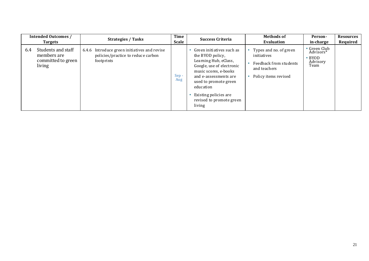| <b>Intended Outcomes /</b><br><b>Targets</b>                             | <b>Strategies / Tasks</b>                                                                        | <b>Time</b><br><b>Scale</b> | <b>Success Criteria</b>                                                                                                                                                                                                                                    | <b>Methods of</b><br>Evaluation                                                                         | Person-<br>in-charge                                          | <b>Resources</b><br>Required |
|--------------------------------------------------------------------------|--------------------------------------------------------------------------------------------------|-----------------------------|------------------------------------------------------------------------------------------------------------------------------------------------------------------------------------------------------------------------------------------------------------|---------------------------------------------------------------------------------------------------------|---------------------------------------------------------------|------------------------------|
| Students and staff<br>6.4<br>members are<br>committed to green<br>living | 6.4.6 Introduce green initiatives and revise<br>policies/practice to reduce carbon<br>footprints | Sep-<br>Aug                 | Green initiatives such as<br>the BYOD policy,<br>Learning Hub, eClass,<br>Google, use of electronic<br>music scores, e-books<br>and e-assessments are<br>used to promote green<br>education<br>Existing policies are<br>revised to promote green<br>living | Types and no. of green<br>initiatives<br>Feedback from students<br>and teachers<br>Policy items revised | • Green Club<br>Advisors*<br>$\cdot$ BYOD<br>Advisory<br>Team |                              |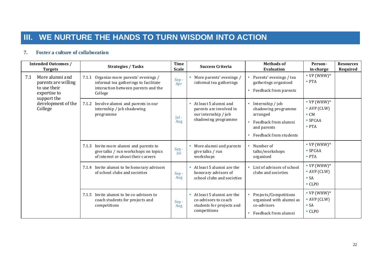## **III. WE NURTURE THE HANDS TO TURN WISDOM INTO ACTION**

#### **7. Foster a culture of collaboration**

|     | <b>Intended Outcomes /</b><br><b>Targets</b>                                          | <b>Strategies / Tasks</b>                                                                                                             | <b>Time</b><br><b>Scale</b> | <b>Success Criteria</b>                                                                           | <b>Methods of</b><br>Evaluation                                                                                      | Person-<br>in-charge                                                                     | <b>Resources</b><br>Required |
|-----|---------------------------------------------------------------------------------------|---------------------------------------------------------------------------------------------------------------------------------------|-----------------------------|---------------------------------------------------------------------------------------------------|----------------------------------------------------------------------------------------------------------------------|------------------------------------------------------------------------------------------|------------------------------|
| 7.1 | More alumni and<br>parents are willing<br>to use their<br>expertise to<br>support the | Organize more parents' evenings /<br>7.1.1<br>informal tea gatherings to facilitate<br>interaction between parents and the<br>College | Sep-<br>Apr                 | More parents' evenings /<br>informal tea gatherings                                               | Parents' evenings / tea<br>gatherings organised<br>Feedback from parents<br>٠                                        | • $VP(WHW)*$<br>$\bullet$ PTA                                                            |                              |
|     | development of the<br>College                                                         | Involve alumni and parents in our<br>7.1.2<br>internship / job shadowing<br>programme                                                 | $ ul -$<br>Aug              | • At least 5 alumni and<br>parents are involved in<br>our internship / job<br>shadowing programme | Internship / job<br>shadowing programme<br>arranged<br>Feedback from alumni<br>and parents<br>Feedback from students | • $VP(WHW)^*$<br>$\bullet$ AVP (CLW)<br>$\bullet$ CM<br>$\bullet$ SPCAA<br>$\bullet$ PTA |                              |
|     |                                                                                       | Invite more alumni and parents to<br>7.1.3<br>give talks / run workshops on topics<br>of interest or about their careers              | Sep-<br> u                  | More alumni and parents<br>$\bullet$<br>give talks / run<br>workshops                             | Number of<br>talks/workshops<br>organised                                                                            | • $VP(WHW)^*$<br>$\bullet$ SPCAA<br>$\bullet$ PTA                                        |                              |
|     |                                                                                       | 7.1.4 Invite alumni to be honorary advisors<br>of school clubs and societies                                                          | Sep-<br>Aug                 | • At least 5 alumni are the<br>honorary advisors of<br>school clubs and societies                 | List of advisors of school<br>clubs and societies                                                                    | • $VP(WHW)^*$<br>$\bullet$ AVP (CLW)<br>$\bullet$ SA<br>$\cdot$ CLPO                     |                              |
|     |                                                                                       | Invite alumni to be co-advisors to<br>7.1.5<br>coach students for projects and<br>competitions                                        | Sep-<br>Aug                 | • At least 5 alumni are the<br>co-advisors to coach<br>students for projects and<br>competitions  | Projects/Competitions<br>organised with alumni as<br>co-advisors<br>Feedback from alumni                             | • $VP(WHW)^*$<br>$\bullet$ AVP (CLW)<br>$\bullet$ SA<br>$\cdot$ CLPO                     |                              |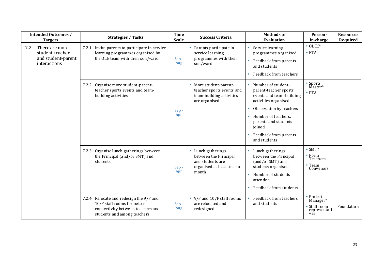| <b>Intended Outcomes /</b><br><b>Targets</b>                                   | <b>Strategies / Tasks</b>                                                                                                                  | <b>Time</b><br><b>Scale</b> | <b>Success Criteria</b>                                                                               | <b>Methods of</b><br><b>Evaluation</b>                                                                                                                                                                                       | Person-<br>in-charge                                                        | <b>Resources</b><br>Required |
|--------------------------------------------------------------------------------|--------------------------------------------------------------------------------------------------------------------------------------------|-----------------------------|-------------------------------------------------------------------------------------------------------|------------------------------------------------------------------------------------------------------------------------------------------------------------------------------------------------------------------------------|-----------------------------------------------------------------------------|------------------------------|
| 7.2<br>There are more<br>student-teacher<br>and student-parent<br>interactions | 7.2.1 Invite parents to participate in service<br>learning programmes organised by<br>the OLE team with their son/ward                     | Sep-<br>Aug                 | • Parents participate in<br>service learning<br>programmes with their<br>son/ward                     | Service learning<br>programmes organised<br>Feedback from parents<br>and students<br>Feedback from teachers                                                                                                                  | $\bullet$ OLEC*<br>$\bullet$ PTA                                            |                              |
|                                                                                | Organise more student-parent-<br>7.2.2<br>teacher sports events and team-<br>building activities                                           | Sep-<br>Apr                 | • More student-parent-<br>teacher sports events and<br>team-building activities<br>are organised      | Number of student-<br>parent-teacher sports<br>events and team-building<br>activities organised<br>Observation by teachers<br>Number of teachers,<br>parents and students<br>joined<br>Feedback from parents<br>and students | Sports<br>Master*<br>$\bullet$ PTA                                          |                              |
|                                                                                | 7.2.3 Organise lunch gatherings between<br>the Principal (and/or SMT) and<br>students                                                      | Sep-<br>Apr                 | • Lunch gatherings<br>between the Principal<br>and students are<br>organised at least once a<br>month | Lunch gatherings<br>between the Principal<br>(and/or SMT) and<br>students organised<br>Number of students<br>attended<br>Feedback from students                                                                              | $\bullet$ SMT*<br>$\bullet$ Form<br>Teachers<br>$\bullet$ Team<br>Convenors |                              |
|                                                                                | 7.2.4 Relocate and redesign the 9/F and<br>10/F staff rooms for better<br>connectivity between teachers and<br>students and among teachers | Sep-<br>Aug                 | • 9/F and 10/F staff rooms<br>are relocated and<br>redesigned                                         | Feedback from teachers<br>and students                                                                                                                                                                                       | • Project<br>Manager*<br>Staff room<br>representati<br>ves                  | Foundation                   |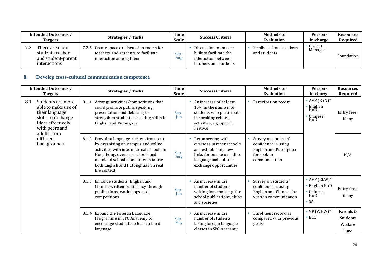| <b>Intended Outcomes /</b><br><b>Targets</b>                            | <b>Strategies / Tasks</b>                                                                                      | Time<br><b>Scale</b> | <b>Success Criteria</b>                                                                         | Methods of<br>Evaluation               | Person-<br>in-charge | Resources<br>Required |
|-------------------------------------------------------------------------|----------------------------------------------------------------------------------------------------------------|----------------------|-------------------------------------------------------------------------------------------------|----------------------------------------|----------------------|-----------------------|
| There are more<br>student-teacher<br>and student-parent<br>interactions | Create space or discussion rooms for<br>7.2.5<br>teachers and students to facilitate<br>interaction among them | Sep-<br>Aug          | Discussion rooms are<br>built to facilitate the<br>interaction between<br>teachers and students | Feedback from teachers<br>and students | Project<br>Manager   | Foundation            |

#### **8. Develop cross-cultural communication competence**

|     | <b>Intended Outcomes /</b><br><b>Targets</b>                                                                                                                       | <b>Strategies / Tasks</b>                                                                                                                                                                                                                                         | <b>Time</b><br><b>Scale</b> | <b>Success Criteria</b>                                                                                                                                              | <b>Methods of</b><br><b>Evaluation</b>                                                             | Person-<br>in-charge                                                              | <b>Resources</b><br>Required             |
|-----|--------------------------------------------------------------------------------------------------------------------------------------------------------------------|-------------------------------------------------------------------------------------------------------------------------------------------------------------------------------------------------------------------------------------------------------------------|-----------------------------|----------------------------------------------------------------------------------------------------------------------------------------------------------------------|----------------------------------------------------------------------------------------------------|-----------------------------------------------------------------------------------|------------------------------------------|
| 8.1 | Students are more<br>able to make use of<br>their language<br>skills to exchange<br>ideas effectively<br>with peers and<br>adults from<br>different<br>backgrounds | Arrange activities/competitions that<br>8.1.1<br>could promote public speaking,<br>presentation and debating to<br>strengthen students' speaking skills in<br>English and Putonghua                                                                               | Sep-<br>Jun                 | • An increase of at least<br>10% in the number of<br>students who participate<br>in speaking related<br>activities, e.g. Speech<br>Festival                          | Participation record                                                                               | • AVP $(KYN)*$<br>• English<br>HoD.<br>• Chinese<br>$H_0D$                        | Entry fees,<br>if any                    |
|     |                                                                                                                                                                    | Provide a language-rich environment<br>8.1.2<br>by organising on-campus and online<br>activities with international schools in<br>Hong Kong, overseas schools and<br>mainland schools for students to use<br>both English and Putonghua in a real<br>life context | Sep-<br>Aug                 | Reconnecting with<br>$\bullet$<br>overseas partner schools<br>and establishing new<br>links for on-site or online<br>language and cultural<br>exchange opportunities | Survey on students'<br>confidence in using<br>English and Putonghua<br>for spoken<br>communication |                                                                                   | N/A                                      |
|     |                                                                                                                                                                    | 8.1.3 Enhance students' English and<br>Chinese written proficiency through<br>publications, workshops and<br>competitions                                                                                                                                         | Sep-<br>Jun                 | An increase in the<br>$\bullet$<br>number of students<br>writing for school e.g. for<br>school publications, clubs<br>and societies                                  | Survey on students'<br>confidence in using<br>English and Chinese for<br>written communication     | • AVP $(CLW)^*$<br>• English HoD<br>• Chinese<br>H <sub>0</sub> D<br>$\bullet$ SA | Entry fees,<br>if any                    |
|     |                                                                                                                                                                    | 8.1.4 Expand the Foreign Language<br>Programme in SPC Academy to<br>encourage students to learn a third<br>language                                                                                                                                               | Sep-<br>May                 | $\bullet$ An increase in the<br>number of students<br>taking foreign language<br>classes in SPC Academy                                                              | Enrolment record as<br>compared with previous<br>years                                             | • $VP(WHW)^*$<br>$\bullet$ ELC                                                    | Parents &<br>Students<br>Welfare<br>Fund |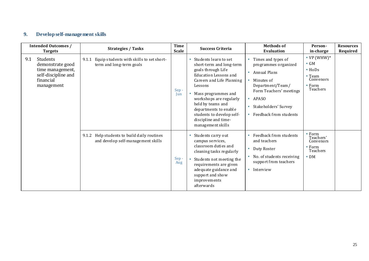## **9. Develop self-management skills**

| <b>Intended Outcomes /</b><br><b>Targets</b>                                                              | <b>Strategies / Tasks</b>                                                         | Time<br><b>Scale</b> | <b>Success Criteria</b>                                                                                                                                                                                                                                                                                              | <b>Methods of</b><br><b>Evaluation</b>                                                                                                                                             | Person-<br>in-charge                                                                               | <b>Resources</b><br>Required |
|-----------------------------------------------------------------------------------------------------------|-----------------------------------------------------------------------------------|----------------------|----------------------------------------------------------------------------------------------------------------------------------------------------------------------------------------------------------------------------------------------------------------------------------------------------------------------|------------------------------------------------------------------------------------------------------------------------------------------------------------------------------------|----------------------------------------------------------------------------------------------------|------------------------------|
| Students<br>9.1<br>demonstrate good<br>time management,<br>self-discipline and<br>financial<br>management | Equip students with skills to set short-<br>9.1.1<br>term and long-term goals     | $Sep -$<br>Jun       | • Students learn to set<br>short-term and long-term<br>goals through Life<br>Education Lessons and<br>Careers and Life Planning<br>Lessons<br>Mass programmes and<br>workshops are regularly<br>held by teams and<br>departments to enable<br>students to develop self-<br>discipline and time-<br>management skills | Times and types of<br>programmes organized<br>Annual Plans<br>Minutes of<br>Department/Team/<br>Form Teachers' meetings<br>APASO<br>Stakeholders' Survey<br>Feedback from students | • $VP(WHW)^*$<br>$\bullet$ GM<br>$\bullet$ HoDs<br>Team<br>Convenors<br>$\bullet$ Form<br>Teachers |                              |
|                                                                                                           | 9.1.2 Help students to build daily routines<br>and develop self-management skills | Sep-<br>Aug          | Students carry out<br>campus services,<br>classroom duties and<br>cleaning tasks regularly<br>Students not meeting the<br>requirements are given<br>adequate guidance and<br>support and show<br>improvements<br>afterwards                                                                                          | Feedback from students<br>and teachers<br>Duty Roster<br>No. of students receiving<br>support from teachers<br>Interview                                                           | $\bullet$ Form<br>Teachers'<br>Convenors<br>$\bullet$ Form<br>Teachers<br>$\bullet$ DM             |                              |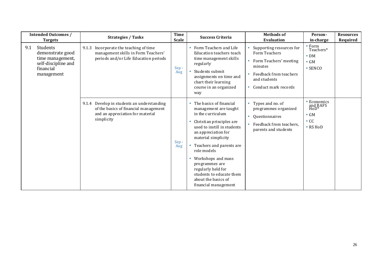| <b>Intended Outcomes /</b><br><b>Targets</b>                                                              | <b>Strategies / Tasks</b>                                                                                                             | <b>Time</b><br><b>Scale</b> | <b>Success Criteria</b>                                                                                                                                                                                                                                                                                                                                                                                     | <b>Methods of</b><br><b>Evaluation</b>                                                                                                           | Person-<br>in-charge                                                         | <b>Resources</b><br>Required |
|-----------------------------------------------------------------------------------------------------------|---------------------------------------------------------------------------------------------------------------------------------------|-----------------------------|-------------------------------------------------------------------------------------------------------------------------------------------------------------------------------------------------------------------------------------------------------------------------------------------------------------------------------------------------------------------------------------------------------------|--------------------------------------------------------------------------------------------------------------------------------------------------|------------------------------------------------------------------------------|------------------------------|
| 9.1<br>Students<br>demonstrate good<br>time management,<br>self-discipline and<br>financial<br>management | Incorporate the teaching of time<br>9.1.3<br>management skills in Form Teachers'<br>periods and/or Life Education periods             | Sep-<br>Aug                 | Form Teachers and Life<br>Education teachers teach<br>time management skills<br>regularly<br>Students submit<br>assignments on time and<br>chart their learning<br>course in an organized<br>way                                                                                                                                                                                                            | Supporting resources for<br>Form Teachers<br>Form Teachers' meeting<br>minutes<br>Feedback from teachers<br>and students<br>Conduct mark records | $\bullet$ Form<br>Teachers*<br>$\bullet$ DM<br>$\bullet$ GM<br>$\cdot$ SENCO |                              |
|                                                                                                           | 9.1.4 Develop in students an understanding<br>of the basics of financial management<br>and an appreciation for material<br>simplicity | Sep-<br>Aug                 | The basics of financial<br>$\bullet$<br>management are taught<br>in the curriculum<br>• Christian principles are<br>used to instill in students<br>an appreciation for<br>material simplicity<br>Teachers and parents are<br>$\bullet$<br>role models<br>Workshops and mass<br>$\bullet$<br>programmes are<br>regularly held for<br>students to educate them<br>about the basics of<br>financial management | Types and no. of<br>programmes organized<br>Questionnaires<br>Feedback from teachers.<br>parents and students                                    | • Economics<br>and BAFS<br>HoD*<br>$\bullet$ GM<br>$\bullet$ CC<br>• RS HoD  |                              |